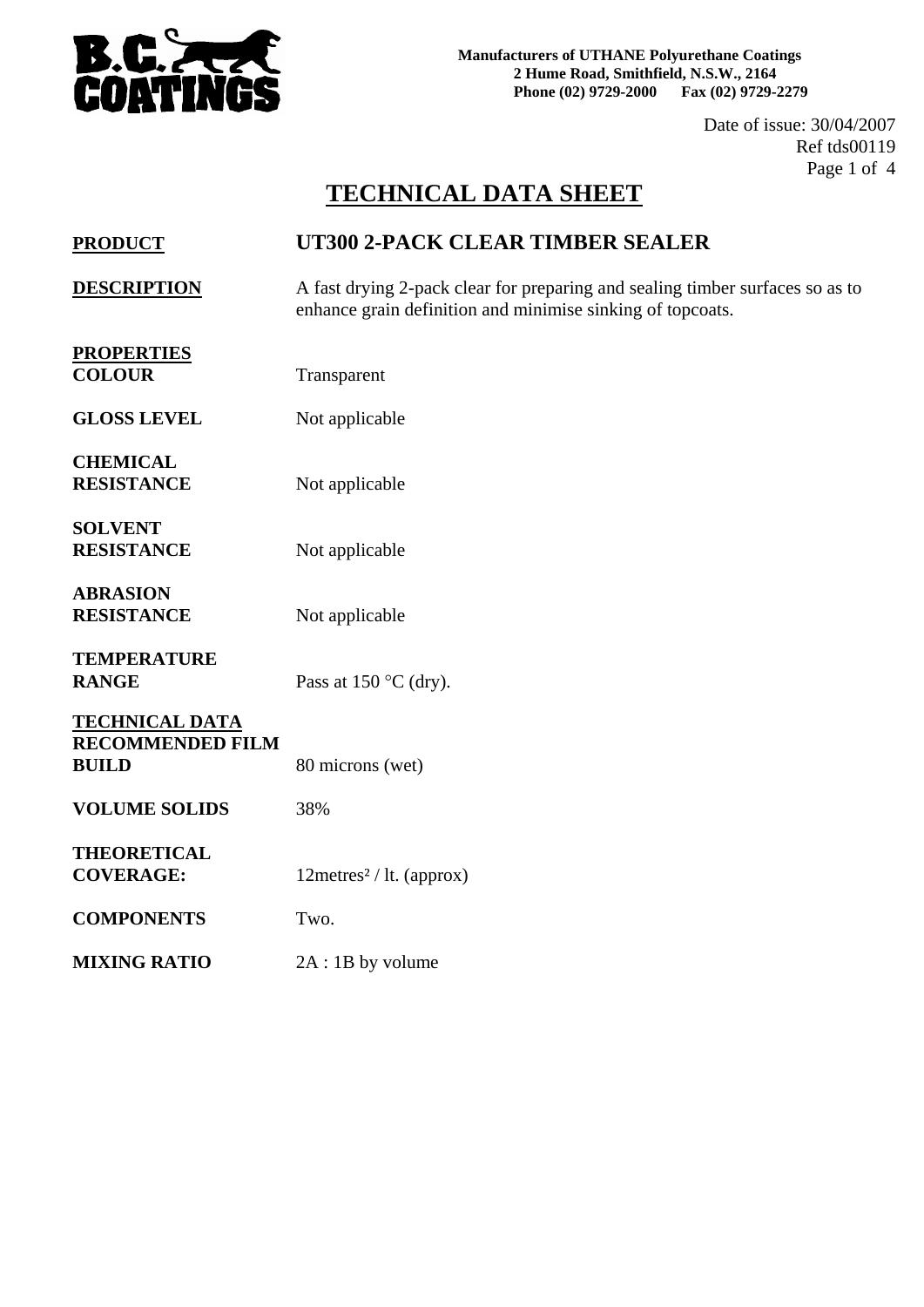

**Manufacturers of UTHANE Polyurethane Coatings 2 Hume Road, Smithfield, N.S.W., 2164 Phone (02) 9729-2000 Fax (02) 9729-2279**

> Date of issue: 30/04/2007 Ref tds00119 Page 1 of 4

# **TECHNICAL DATA SHEET**

| <b>PRODUCT</b>                                                   | UT300 2-PACK CLEAR TIMBER SEALER                                                                                                            |
|------------------------------------------------------------------|---------------------------------------------------------------------------------------------------------------------------------------------|
| <b>DESCRIPTION</b>                                               | A fast drying 2-pack clear for preparing and sealing timber surfaces so as to<br>enhance grain definition and minimise sinking of topcoats. |
| <b>PROPERTIES</b><br><b>COLOUR</b>                               | Transparent                                                                                                                                 |
| <b>GLOSS LEVEL</b>                                               | Not applicable                                                                                                                              |
| <b>CHEMICAL</b><br><b>RESISTANCE</b>                             | Not applicable                                                                                                                              |
| <b>SOLVENT</b><br><b>RESISTANCE</b>                              | Not applicable                                                                                                                              |
| <b>ABRASION</b><br><b>RESISTANCE</b>                             | Not applicable                                                                                                                              |
| <b>TEMPERATURE</b><br><b>RANGE</b>                               | Pass at 150 $\rm{^{\circ}C}$ (dry).                                                                                                         |
| <b>TECHNICAL DATA</b><br><b>RECOMMENDED FILM</b><br><b>BUILD</b> | 80 microns (wet)                                                                                                                            |
| <b>VOLUME SOLIDS</b>                                             | 38%                                                                                                                                         |
| <b>THEORETICAL</b><br><b>COVERAGE:</b>                           | $12$ metres <sup>2</sup> / lt. (approx)                                                                                                     |
| <b>COMPONENTS</b>                                                | Two.                                                                                                                                        |
| <b>MIXING RATIO</b>                                              | $2A:1B$ by volume                                                                                                                           |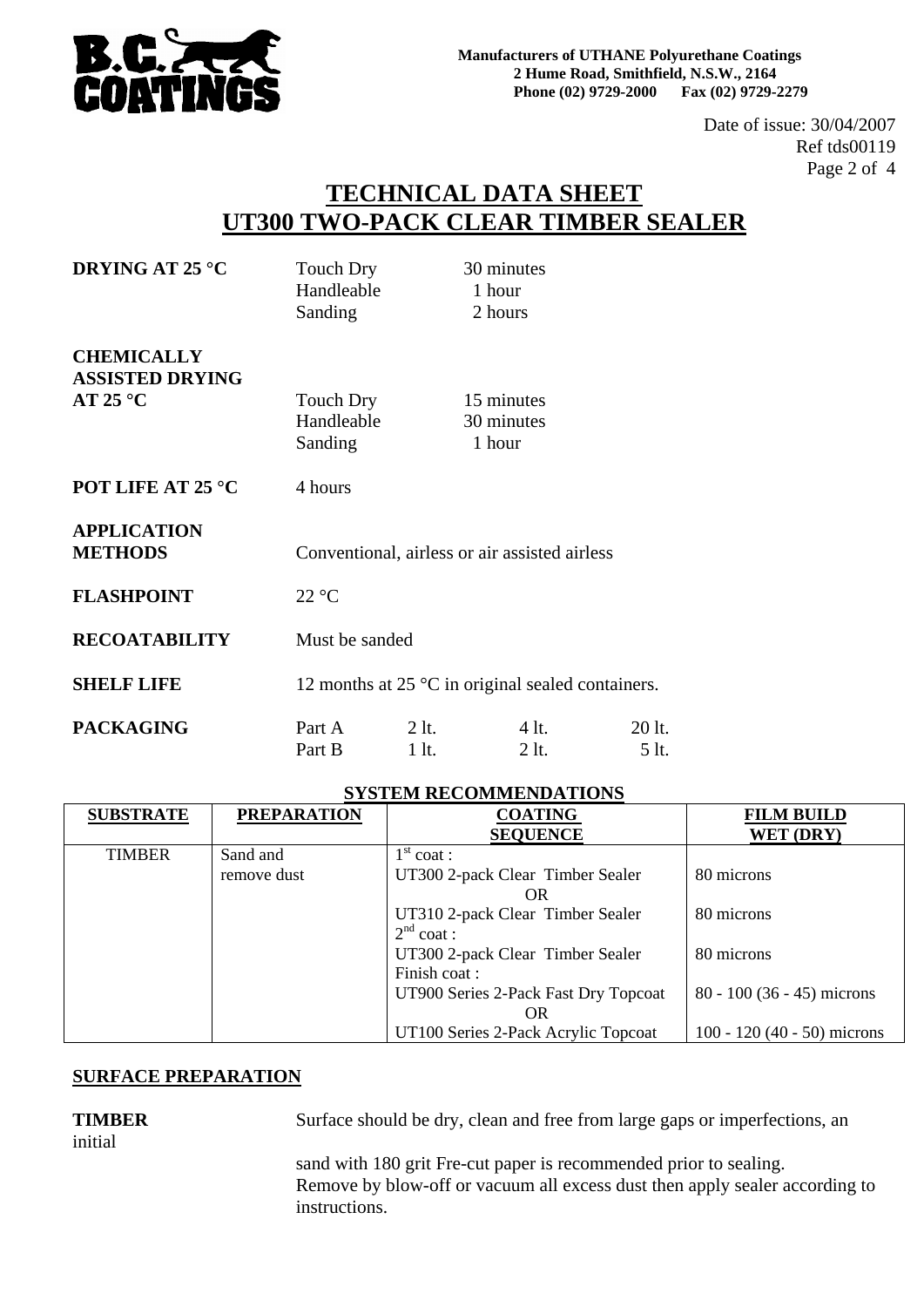

Date of issue: 30/04/2007 Ref tds00119 Page 2 of 4

### **TECHNICAL DATA SHEET UT300 TWO-PACK CLEAR TIMBER SEALER**

| DRYING AT 25 °C                                                           | <b>Touch Dry</b><br>Handleable<br>Sanding                  |                    | 30 minutes<br>1 hour<br>2 hours    |                 |  |
|---------------------------------------------------------------------------|------------------------------------------------------------|--------------------|------------------------------------|-----------------|--|
| <b>CHEMICALLY</b><br><b>ASSISTED DRYING</b><br>AT 25 $\mathrm{^{\circ}C}$ | Touch Dry<br>Handleable<br>Sanding                         |                    | 15 minutes<br>30 minutes<br>1 hour |                 |  |
| POT LIFE AT 25 °C                                                         | 4 hours                                                    |                    |                                    |                 |  |
| <b>APPLICATION</b><br><b>METHODS</b>                                      | Conventional, airless or air assisted airless              |                    |                                    |                 |  |
| <b>FLASHPOINT</b>                                                         | 22 °C                                                      |                    |                                    |                 |  |
| <b>RECOATABILITY</b>                                                      | Must be sanded                                             |                    |                                    |                 |  |
| <b>SHELF LIFE</b>                                                         | 12 months at 25 $\degree$ C in original sealed containers. |                    |                                    |                 |  |
| <b>PACKAGING</b>                                                          | Part A<br>Part B                                           | $2$ lt.<br>$1$ lt. | 4 lt.<br>$2$ lt.                   | 20 lt.<br>5 lt. |  |

#### **SYSTEM RECOMMENDATIONS**

| <b>SUBSTRATE</b> | <b>PREPARATION</b> | <b>COATING</b>                       | <b>FILM BUILD</b>           |
|------------------|--------------------|--------------------------------------|-----------------------------|
|                  |                    | <b>SEQUENCE</b>                      | WET (DRY)                   |
| <b>TIMBER</b>    | Sand and           | $1st$ coat :                         |                             |
|                  | remove dust        | UT300 2-pack Clear Timber Sealer     | 80 microns                  |
|                  |                    | OR                                   |                             |
|                  |                    | UT310 2-pack Clear Timber Sealer     | 80 microns                  |
|                  |                    | $2^{nd}$ coat :                      |                             |
|                  |                    | UT300 2-pack Clear Timber Sealer     | 80 microns                  |
|                  |                    | Finish coat:                         |                             |
|                  |                    | UT900 Series 2-Pack Fast Dry Topcoat | $80 - 100(36 - 45)$ microns |
|                  |                    | OR                                   |                             |
|                  |                    | UT100 Series 2-Pack Acrylic Topcoat  | 100 - 120 (40 - 50) microns |

#### **SURFACE PREPARATION**

initial

**TIMBER** Surface should be dry, clean and free from large gaps or imperfections, an

sand with 180 grit Fre-cut paper is recommended prior to sealing. Remove by blow-off or vacuum all excess dust then apply sealer according to instructions.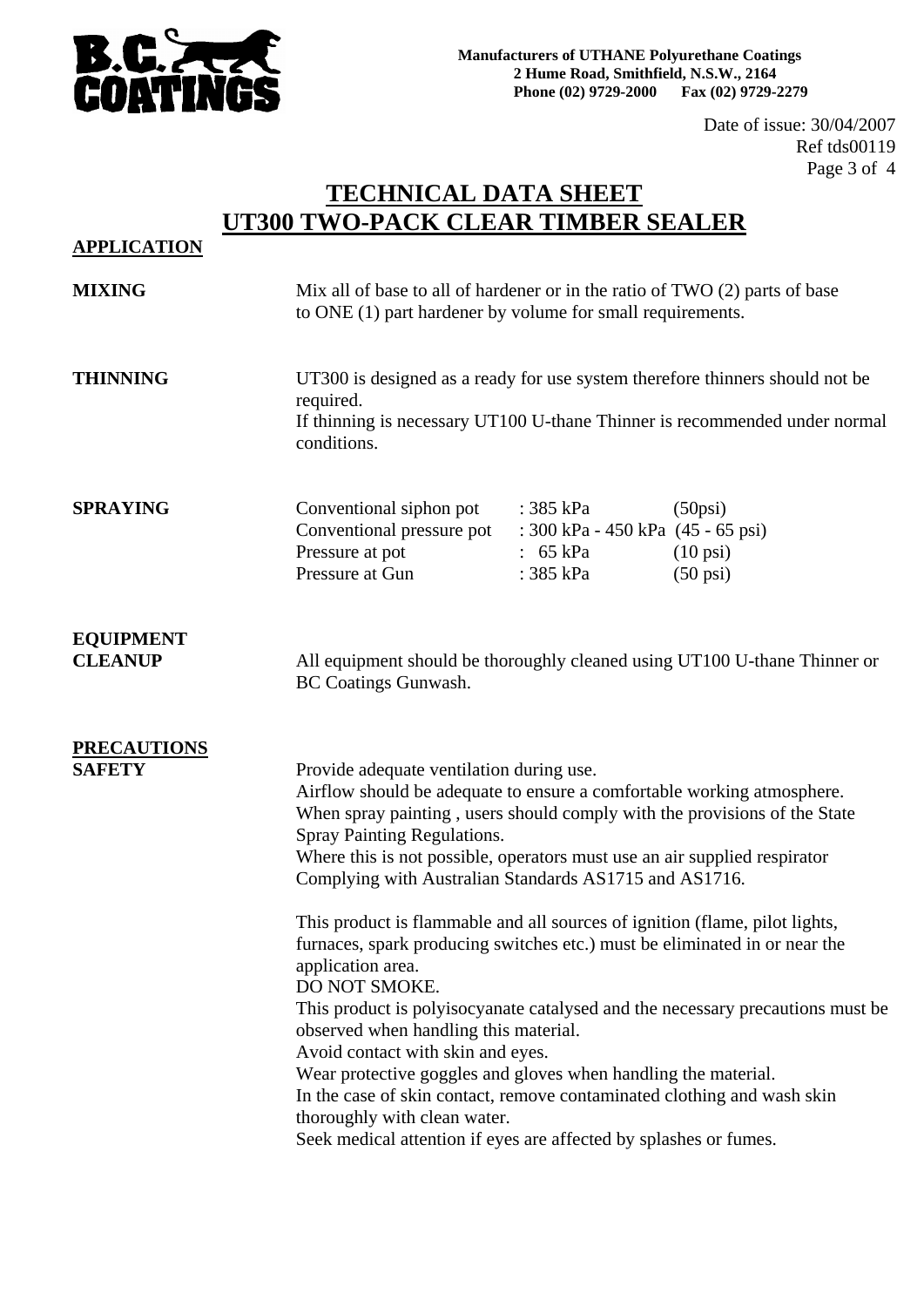

Date of issue: 30/04/2007 Ref tds00119 Page 3 of 4

### **TECHNICAL DATA SHEET UT300 TWO-PACK CLEAR TIMBER SEALER**

| <b>APPLICATION</b>                  |                                                                                                                                                                                                                                                                                                                                                                                                                                                                                                                                                                                                                                                                                                                                                                                                                                                                                                                                                                                            |                                                                                            |                                                              |  |
|-------------------------------------|--------------------------------------------------------------------------------------------------------------------------------------------------------------------------------------------------------------------------------------------------------------------------------------------------------------------------------------------------------------------------------------------------------------------------------------------------------------------------------------------------------------------------------------------------------------------------------------------------------------------------------------------------------------------------------------------------------------------------------------------------------------------------------------------------------------------------------------------------------------------------------------------------------------------------------------------------------------------------------------------|--------------------------------------------------------------------------------------------|--------------------------------------------------------------|--|
| <b>MIXING</b>                       | Mix all of base to all of hardener or in the ratio of $TWO(2)$ parts of base<br>to ONE (1) part hardener by volume for small requirements.                                                                                                                                                                                                                                                                                                                                                                                                                                                                                                                                                                                                                                                                                                                                                                                                                                                 |                                                                                            |                                                              |  |
| <b>THINNING</b>                     | UT300 is designed as a ready for use system therefore thinners should not be<br>required.<br>If thinning is necessary UT100 U-thane Thinner is recommended under normal<br>conditions.                                                                                                                                                                                                                                                                                                                                                                                                                                                                                                                                                                                                                                                                                                                                                                                                     |                                                                                            |                                                              |  |
| <b>SPRAYING</b>                     | Conventional siphon pot : 385 kPa<br>Conventional pressure pot<br>Pressure at pot<br>Pressure at Gun                                                                                                                                                                                                                                                                                                                                                                                                                                                                                                                                                                                                                                                                                                                                                                                                                                                                                       | : $300 \text{ kPa}$ - $450 \text{ kPa}$ $(45 - 65 \text{ psi})$<br>: 65 kPa<br>: $385$ kPa | $(50\text{psi})$<br>$(10 \text{ psi})$<br>$(50 \text{ psi})$ |  |
| <b>EQUIPMENT</b><br><b>CLEANUP</b>  | All equipment should be thoroughly cleaned using UT100 U-thane Thinner or<br><b>BC Coatings Gunwash.</b>                                                                                                                                                                                                                                                                                                                                                                                                                                                                                                                                                                                                                                                                                                                                                                                                                                                                                   |                                                                                            |                                                              |  |
| <b>PRECAUTIONS</b><br><b>SAFETY</b> | Provide adequate ventilation during use.<br>Airflow should be adequate to ensure a comfortable working atmosphere.<br>When spray painting, users should comply with the provisions of the State<br>Spray Painting Regulations.<br>Where this is not possible, operators must use an air supplied respirator<br>Complying with Australian Standards AS1715 and AS1716.<br>This product is flammable and all sources of ignition (flame, pilot lights,<br>furnaces, spark producing switches etc.) must be eliminated in or near the<br>application area.<br>DO NOT SMOKE.<br>This product is polyisocyanate catalysed and the necessary precautions must be<br>observed when handling this material.<br>Avoid contact with skin and eyes.<br>Wear protective goggles and gloves when handling the material.<br>In the case of skin contact, remove contaminated clothing and wash skin<br>thoroughly with clean water.<br>Seek medical attention if eyes are affected by splashes or fumes. |                                                                                            |                                                              |  |